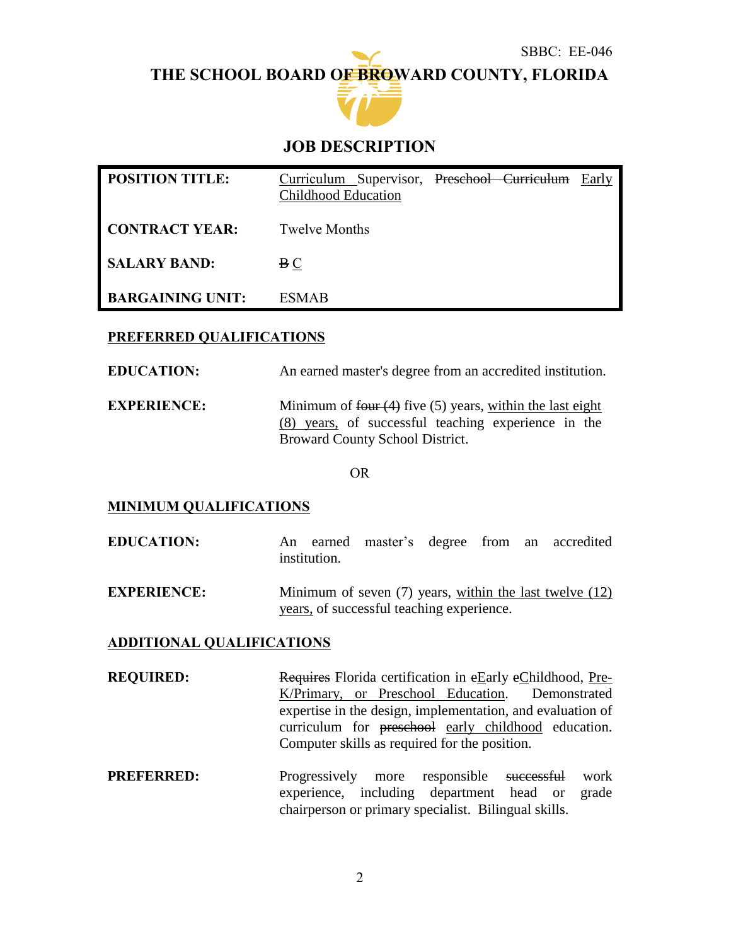SBBC: EE-046

**THE SCHOOL BOARD OF BROWARD COUNTY, FLORIDA**



# **JOB DESCRIPTION**

| <b>POSITION TITLE:</b>  | Curriculum Supervisor, Preschool Curriculum<br><b>Childhood Education</b> |  | Early |
|-------------------------|---------------------------------------------------------------------------|--|-------|
| <b>CONTRACT YEAR:</b>   | <b>Twelve Months</b>                                                      |  |       |
| <b>SALARY BAND:</b>     | B C                                                                       |  |       |
| <b>BARGAINING UNIT:</b> | <b>ESMAB</b>                                                              |  |       |

## **PREFERRED QUALIFICATIONS**

**EDUCATION:** An earned master's degree from an accredited institution.

**EXPERIENCE:** Minimum of four (4) five (5) years, within the last eight (8) years, of successful teaching experience in the Broward County School District.

OR

#### **MINIMUM QUALIFICATIONS**

- **EDUCATION:** An earned master's degree from an accredited institution.
- **EXPERIENCE:** Minimum of seven (7) years, within the last twelve (12) years, of successful teaching experience.

#### **ADDITIONAL QUALIFICATIONS**

- **REQUIRED:** Requires Florida certification in eEarly eChildhood, Pre-K/Primary, or Preschool Education. Demonstrated expertise in the design, implementation, and evaluation of curriculum for preschool early childhood education. Computer skills as required for the position.
- **PREFERRED:** Progressively more responsible successful work experience, including department head or grade chairperson or primary specialist. Bilingual skills.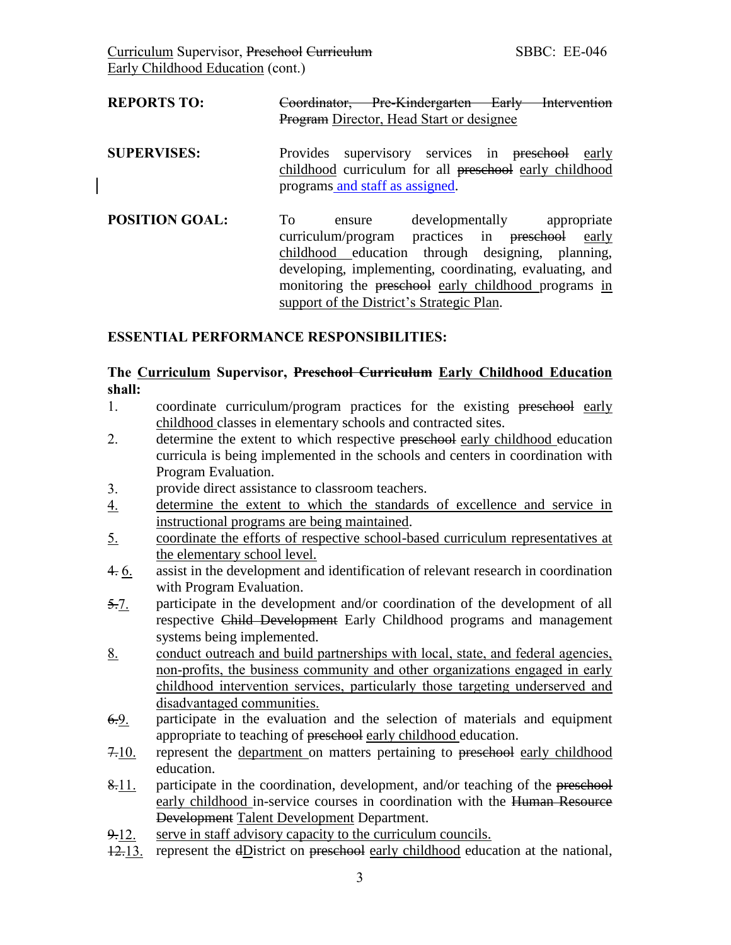| <b>REPORTS TO:</b>    | Coordinator, Pre-Kindergarten Early Intervention<br><b>Program Director, Head Start or designee</b>                                                                                                                                                                                                                   |
|-----------------------|-----------------------------------------------------------------------------------------------------------------------------------------------------------------------------------------------------------------------------------------------------------------------------------------------------------------------|
| <b>SUPERVISES:</b>    | supervisory services in preschool<br><b>Provides</b><br>early<br>childhood curriculum for all preschool early childhood<br>programs and staff as assigned.                                                                                                                                                            |
| <b>POSITION GOAL:</b> | To<br>developmentally appropriate<br>ensure<br>curriculum/program practices in preschool<br>early<br>childhood education through designing, planning,<br>developing, implementing, coordinating, evaluating, and<br>monitoring the preschool early childhood programs in<br>support of the District's Strategic Plan. |

### **ESSENTIAL PERFORMANCE RESPONSIBILITIES:**

## **The Curriculum Supervisor, Preschool Curriculum Early Childhood Education shall:**

- 1. coordinate curriculum/program practices for the existing preschool early childhood classes in elementary schools and contracted sites.
- 2. determine the extent to which respective preschool early childhood education curricula is being implemented in the schools and centers in coordination with Program Evaluation.
- 3. provide direct assistance to classroom teachers.
- 4. determine the extent to which the standards of excellence and service in instructional programs are being maintained.
- 5. coordinate the efforts of respective school-based curriculum representatives at the elementary school level.
- 4. 6. assist in the development and identification of relevant research in coordination with Program Evaluation.
- 5.7. participate in the development and/or coordination of the development of all respective Child Development Early Childhood programs and management systems being implemented.
- 8. conduct outreach and build partnerships with local, state, and federal agencies, non-profits, the business community and other organizations engaged in early childhood intervention services, particularly those targeting underserved and disadvantaged communities.
- 6.9. participate in the evaluation and the selection of materials and equipment appropriate to teaching of preschool early childhood education.
- 7.10. represent the department on matters pertaining to preschool early childhood education.
- 8.11. participate in the coordination, development, and/or teaching of the preschool early childhood in-service courses in coordination with the Human Resource Development Talent Development Department.
- $9-12$ . serve in staff advisory capacity to the curriculum councils.
- $12.13$ . represent the dD istrict on preschool early childhood education at the national,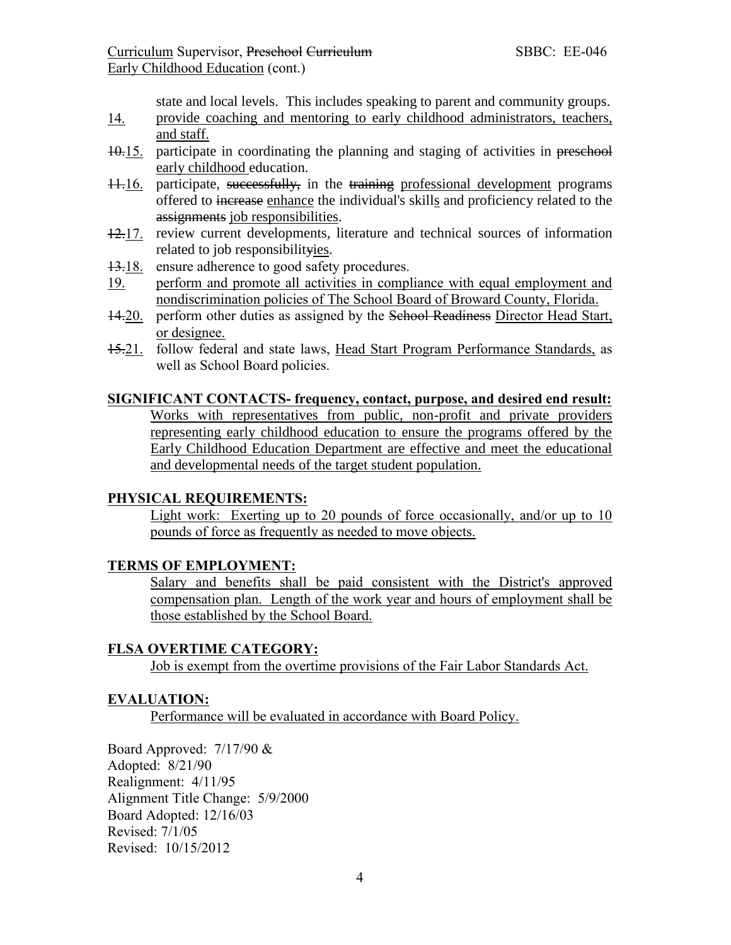state and local levels. This includes speaking to parent and community groups.

- 14. provide coaching and mentoring to early childhood administrators, teachers, and staff.
- 10.15. participate in coordinating the planning and staging of activities in preschool early childhood education.
- 11.16. participate, successfully, in the training professional development programs offered to increase enhance the individual's skills and proficiency related to the assignments job responsibilities.
- 12.17. review current developments, literature and technical sources of information related to job responsibilityies.
- 13.18. ensure adherence to good safety procedures.
- 19. perform and promote all activities in compliance with equal employment and nondiscrimination policies of The School Board of Broward County, Florida.
- 14.20. perform other duties as assigned by the Sehool Readiness Director Head Start, or designee.
- 15.21. follow federal and state laws, Head Start Program Performance Standards, as well as School Board policies.

#### **SIGNIFICANT CONTACTS- frequency, contact, purpose, and desired end result:**

Works with representatives from public, non-profit and private providers representing early childhood education to ensure the programs offered by the Early Childhood Education Department are effective and meet the educational and developmental needs of the target student population.

#### **PHYSICAL REQUIREMENTS:**

Light work: Exerting up to 20 pounds of force occasionally, and/or up to 10 pounds of force as frequently as needed to move objects.

#### **TERMS OF EMPLOYMENT:**

Salary and benefits shall be paid consistent with the District's approved compensation plan. Length of the work year and hours of employment shall be those established by the School Board.

## **FLSA OVERTIME CATEGORY:**

Job is exempt from the overtime provisions of the Fair Labor Standards Act.

#### **EVALUATION:**

Performance will be evaluated in accordance with Board Policy.

Board Approved: 7/17/90 & Adopted: 8/21/90 Realignment: 4/11/95 Alignment Title Change: 5/9/2000 Board Adopted: 12/16/03 Revised: 7/1/05 Revised: 10/15/2012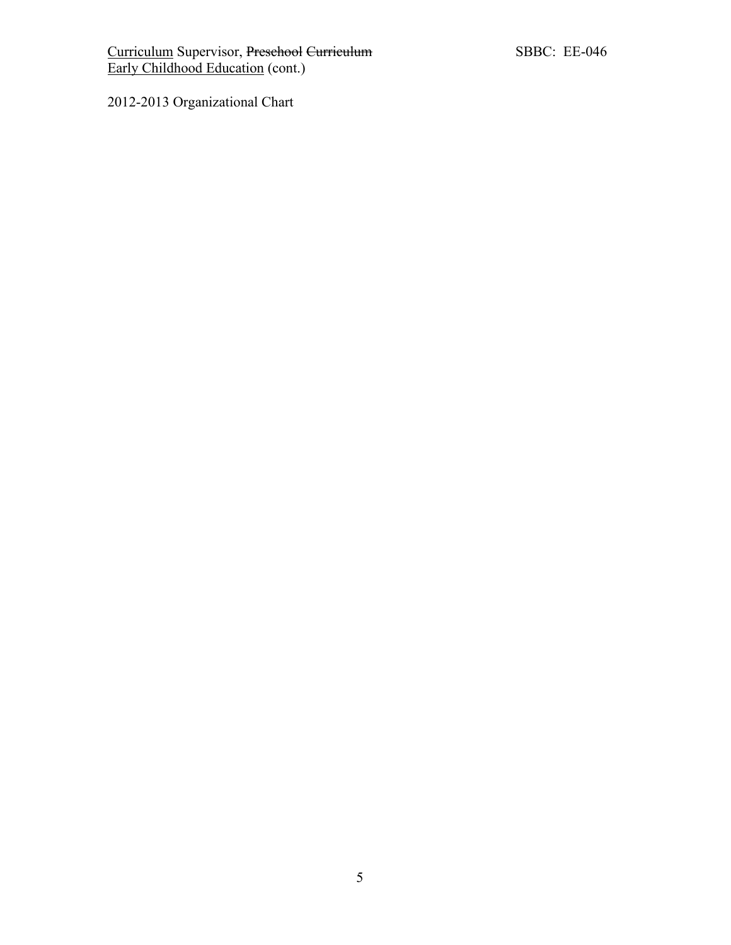2012-2013 Organizational Chart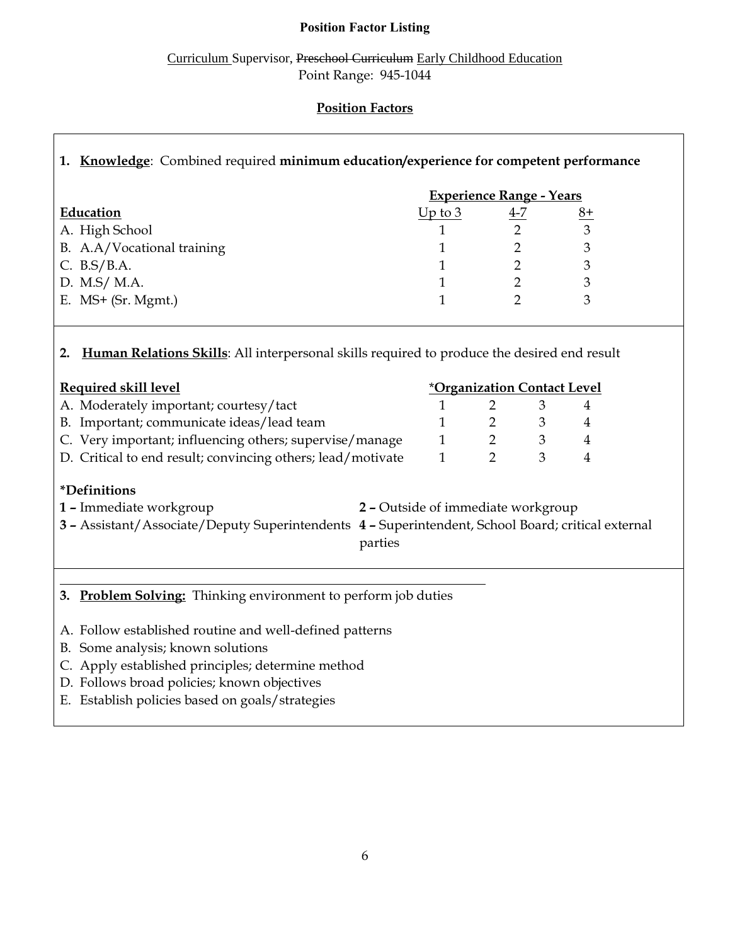## **Position Factor Listing**

Curriculum Supervisor, Preschool Curriculum Early Childhood Education Point Range: 945-1044

## **Position Factors**

## **1. Knowledge**: Combined required **minimum education/experience for competent performance**

|                            | <b>Experience Range - Years</b> |         |      |  |
|----------------------------|---------------------------------|---------|------|--|
| Education                  | Up to $3$                       | $4 - 7$ | $8+$ |  |
| A. High School             |                                 |         |      |  |
| B. A.A/Vocational training |                                 |         |      |  |
| C. $B.S/B.A.$              |                                 |         |      |  |
| D. M.S/ M.A.               |                                 |         |      |  |
| E. $MS+$ (Sr. Mgmt.)       |                                 |         |      |  |
|                            |                                 |         |      |  |

## **2. Human Relations Skills**: All interpersonal skills required to produce the desired end result

| <b>Required skill level</b>                                                                                                                                                                           |  |  | *Organization Contact Level |   |   |
|-------------------------------------------------------------------------------------------------------------------------------------------------------------------------------------------------------|--|--|-----------------------------|---|---|
| A. Moderately important; courtesy/tact                                                                                                                                                                |  |  |                             | 3 | 4 |
| B. Important; communicate ideas/lead team                                                                                                                                                             |  |  |                             | 3 | 4 |
| C. Very important; influencing others; supervise/manage                                                                                                                                               |  |  |                             | 3 | 4 |
| D. Critical to end result; convincing others; lead/motivate                                                                                                                                           |  |  | 2                           | 3 | 4 |
| <i>*Definitions</i><br>1 - Immediate workgroup<br>2 - Outside of immediate workgroup<br>3 - Assistant/Associate/Deputy Superintendents 4 - Superintendent, School Board; critical external<br>parties |  |  |                             |   |   |

# **3. Problem Solving:** Thinking environment to perform job duties

- A. Follow established routine and well-defined patterns
- B. Some analysis; known solutions
- C. Apply established principles; determine method
- D. Follows broad policies; known objectives
- E. Establish policies based on goals/strategies